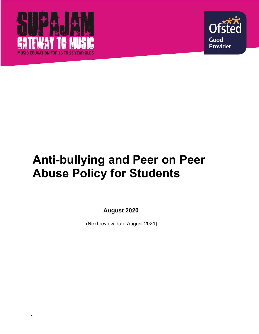



# **Anti-bullying and Peer on Peer Abuse Policy for Students**

**August 2020**

(Next review date August 2021)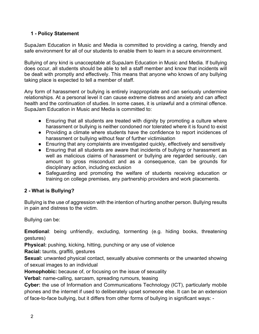# **1 - Policy Statement**

SupaJam Education in Music and Media is committed to providing a caring, friendly and safe environment for all of our students to enable them to learn in a secure environment.

Bullying of any kind is unacceptable at SupaJam Education in Music and Media. If bullying does occur, all students should be able to tell a staff member and know that incidents will be dealt with promptly and effectively. This means that anyone who knows of any bullying taking place is expected to tell a member of staff.

Any form of harassment or bullying is entirely inappropriate and can seriously undermine relationships. At a personal level it can cause extreme distress and anxiety and can affect health and the continuation of studies. In some cases, it is unlawful and a criminal offence. SupaJam Education in Music and Media is committed to:

- Ensuring that all students are treated with dignity by promoting a culture where harassment or bullying is neither condoned nor tolerated where it is found to exist
- Providing a climate where students have the confidence to report incidences of harassment or bullying without fear of further victimisation
- Ensuring that any complaints are investigated quickly, effectively and sensitively
- Ensuring that all students are aware that incidents of bullying or harassment as well as malicious claims of harassment or bullying are regarded seriously, can amount to gross misconduct and as a consequence, can be grounds for disciplinary action, including exclusion
- Safeguarding and promoting the welfare of students receiving education or training on college premises, any partnership providers and work placements.

# **2 - What is Bullying?**

Bullying is the use of aggression with the intention of hurting another person. Bullying results in pain and distress to the victim.

Bullying can be:

**Emotional**: being unfriendly, excluding, tormenting (e.g. hiding books, threatening gestures)

**Physical:** pushing, kicking, hitting, punching or any use of violence

**Racial:** taunts, graffiti, gestures

**Sexual:** unwanted physical contact, sexually abusive comments or the unwanted showing of sexual images to an individual

**Homophobic:** because of, or focusing on the issue of sexuality

**Verbal:** name-calling, sarcasm, spreading rumours, teasing

**Cyber:** the use of Information and Communications Technology (ICT), particularly mobile phones and the internet if used to deliberately upset someone else. It can be an extension of face-to-face bullying, but it differs from other forms of bullying in significant ways: -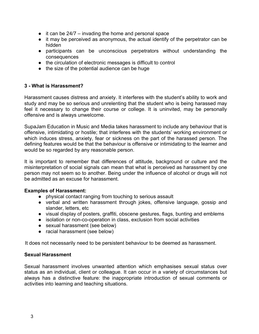- $\bullet$  it can be 24/7 invading the home and personal space
- it may be perceived as anonymous, the actual identify of the perpetrator can be hidden
- participants can be unconscious perpetrators without understanding the consequences
- the circulation of electronic messages is difficult to control
- the size of the potential audience can be huge

#### **3 - What is Harassment?**

Harassment causes distress and anxiety. It interferes with the student's ability to work and study and may be so serious and unrelenting that the student who is being harassed may feel it necessary to change their course or college. It is uninvited, may be personally offensive and is always unwelcome.

SupaJam Education in Music and Media takes harassment to include any behaviour that is offensive, intimidating or hostile; that interferes with the students' working environment or which induces stress, anxiety, fear or sickness on the part of the harassed person. The defining features would be that the behaviour is offensive or intimidating to the learner and would be so regarded by any reasonable person.

It is important to remember that differences of attitude, background or culture and the misinterpretation of social signals can mean that what is perceived as harassment by one person may not seem so to another. Being under the influence of alcohol or drugs will not be admitted as an excuse for harassment.

#### **Examples of Harassment:**

- physical contact ranging from touching to serious assault
- verbal and written harassment through jokes, offensive language, gossip and slander, letters, etc
- visual display of posters, graffiti, obscene gestures, flags, bunting and emblems
- isolation or non-co-operation in class, exclusion from social activities
- sexual harassment (see below)
- racial harassment (see below)

It does not necessarily need to be persistent behaviour to be deemed as harassment.

#### **Sexual Harassment**

Sexual harassment involves unwanted attention which emphasises sexual status over status as an individual, client or colleague. It can occur in a variety of circumstances but always has a distinctive feature: the inappropriate introduction of sexual comments or activities into learning and teaching situations.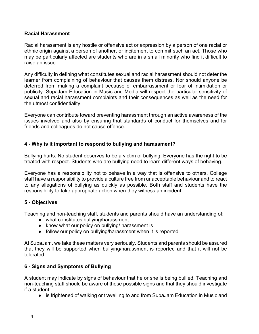#### **Racial Harassment**

Racial harassment is any hostile or offensive act or expression by a person of one racial or ethnic origin against a person of another, or incitement to commit such an act. Those who may be particularly affected are students who are in a small minority who find it difficult to raise an issue.

Any difficulty in defining what constitutes sexual and racial harassment should not deter the learner from complaining of behaviour that causes them distress. Nor should anyone be deterred from making a complaint because of embarrassment or fear of intimidation or publicity. SupaJam Education in Music and Media will respect the particular sensitivity of sexual and racial harassment complaints and their consequences as well as the need for the utmost confidentiality.

Everyone can contribute toward preventing harassment through an active awareness of the issues involved and also by ensuring that standards of conduct for themselves and for friends and colleagues do not cause offence.

#### **4 - Why is it important to respond to bullying and harassment?**

Bullying hurts. No student deserves to be a victim of bullying. Everyone has the right to be treated with respect. Students who are bullying need to learn different ways of behaving.

Everyone has a responsibility not to behave in a way that is offensive to others. College staff have a responsibility to provide a culture free from unacceptable behaviour and to react to any allegations of bullying as quickly as possible. Both staff and students have the responsibility to take appropriate action when they witness an incident.

#### **5 - Objectives**

Teaching and non-teaching staff, students and parents should have an understanding of:

- what constitutes bullying/harassment
- know what our policy on bullying/ harassment is
- follow our policy on bullying/harassment when it is reported

At SupaJam, we take these matters very seriously. Students and parents should be assured that they will be supported when bullying/harassment is reported and that it will not be tolerated.

## **6 - Signs and Symptoms of Bullying**

A student may indicate by signs of behaviour that he or she is being bullied. Teaching and non-teaching staff should be aware of these possible signs and that they should investigate if a student:

● is frightened of walking or travelling to and from SupaJam Education in Music and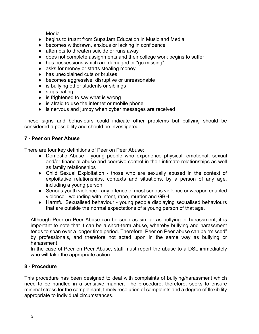Media

- begins to truant from SupaJam Education in Music and Media
- becomes withdrawn, anxious or lacking in confidence
- attempts to threaten suicide or runs away
- does not complete assignments and their college work begins to suffer
- has possessions which are damaged or "go missing"
- asks for money or starts stealing money
- has unexplained cuts or bruises
- becomes aggressive, disruptive or unreasonable
- is bullying other students or siblings
- stops eating
- is frightened to say what is wrong
- is afraid to use the internet or mobile phone
- is nervous and jumpy when cyber messages are received

These signs and behaviours could indicate other problems but bullying should be considered a possibility and should be investigated.

#### **7 - Peer on Peer Abuse**

There are four key definitions of Peer on Peer Abuse:

- Domestic Abuse young people who experience physical, emotional, sexual and/or financial abuse and coercive control in their intimate relationships as well as family relationships
- Child Sexual Exploitation those who are sexually abused in the context of exploitative relationships, contexts and situations, by a person of any age, including a young person
- Serious youth violence any offence of most serious violence or weapon enabled violence - wounding with intent, rape, murder and GBH
- Harmful Sexualised behaviour young people displaying sexualised behaviours that are outside the normal expectations of a young person of that age.

Although Peer on Peer Abuse can be seen as similar as bullying or harassment, it is important to note that it can be a short-term abuse, whereby bullying and harassment tends to span over a longer time period. Therefore, Peer on Peer abuse can be "missed" by professionals, and therefore not acted upon in the same way as bullying or harassment.

In the case of Peer on Peer Abuse, staff must report the abuse to a DSL immediately who will take the appropriate action.

## **8 - Procedure**

This procedure has been designed to deal with complaints of bullying/harassment which need to be handled in a sensitive manner. The procedure, therefore, seeks to ensure minimal stress for the complainant, timely resolution of complaints and a degree of flexibility appropriate to individual circumstances.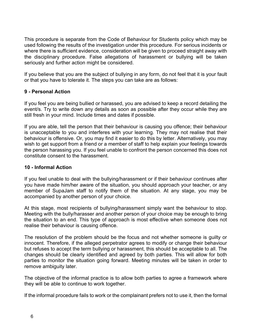This procedure is separate from the Code of Behaviour for Students policy which may be used following the results of the investigation under this procedure. For serious incidents or where there is sufficient evidence, consideration will be given to proceed straight away with the disciplinary procedure. False allegations of harassment or bullying will be taken seriously and further action might be considered.

If you believe that you are the subject of bullying in any form, do not feel that it is your fault or that you have to tolerate it. The steps you can take are as follows:

## **9 - Personal Action**

If you feel you are being bullied or harassed, you are advised to keep a record detailing the event/s. Try to write down any details as soon as possible after they occur while they are still fresh in your mind. Include times and dates if possible.

If you are able, tell the person that their behaviour is causing you offence; their behaviour is unacceptable to you and interferes with your learning. They may not realise that their behaviour is offensive. Or, you may find it easier to do this by letter. Alternatively, you may wish to get support from a friend or a member of staff to help explain your feelings towards the person harassing you. If you feel unable to confront the person concerned this does not constitute consent to the harassment.

#### **10 - Informal Action**

If you feel unable to deal with the bullying/harassment or if their behaviour continues after you have made him/her aware of the situation, you should approach your teacher, or any member of SupaJam staff to notify them of the situation. At any stage, you may be accompanied by another person of your choice.

At this stage, most recipients of bullying/harassment simply want the behaviour to stop. Meeting with the bully/harasser and another person of your choice may be enough to bring the situation to an end. This type of approach is most effective when someone does not realise their behaviour is causing offence.

The resolution of the problem should be the focus and not whether someone is guilty or innocent. Therefore, if the alleged perpetrator agrees to modify or change their behaviour but refuses to accept the term bullying or harassment, this should be acceptable to all. The changes should be clearly identified and agreed by both parties. This will allow for both parties to monitor the situation going forward. Meeting minutes will be taken in order to remove ambiguity later.

The objective of the informal practice is to allow both parties to agree a framework where they will be able to continue to work together.

If the informal procedure fails to work or the complainant prefers not to use it, then the formal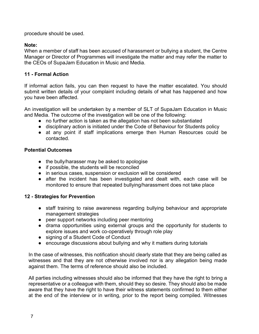procedure should be used.

# **Note:**

When a member of staff has been accused of harassment or bullying a student, the Centre Manager or Director of Programmes will investigate the matter and may refer the matter to the CEOs of SupaJam Education in Music and Media.

# **11 - Formal Action**

If informal action fails, you can then request to have the matter escalated. You should submit written details of your complaint including details of what has happened and how you have been affected.

An investigation will be undertaken by a member of SLT of SupaJam Education in Music and Media. The outcome of the investigation will be one of the following:

- no further action is taken as the allegation has not been substantiated
- disciplinary action is initiated under the Code of Behaviour for Students policy
- at any point if staff implications emerge then Human Resources could be contacted.

# **Potential Outcomes**

- the bully/harasser may be asked to apologise
- if possible, the students will be reconciled
- in serious cases, suspension or exclusion will be considered
- after the incident has been investigated and dealt with, each case will be monitored to ensure that repeated bullying/harassment does not take place

# **12 - Strategies for Prevention**

- staff training to raise awareness regarding bullying behaviour and appropriate management strategies
- peer support networks including peer mentoring
- drama opportunities using external groups and the opportunity for students to explore issues and work co-operatively through role play
- signing of a Student Code of Conduct
- encourage discussions about bullying and why it matters during tutorials

In the case of witnesses, this notification should clearly state that they are being called as witnesses and that they are not otherwise involved nor is any allegation being made against them. The terms of reference should also be included.

All parties including witnesses should also be informed that they have the right to bring a representative or a colleague with them, should they so desire. They should also be made aware that they have the right to have their witness statements confirmed to them either at the end of the interview or in writing, prior to the report being compiled. Witnesses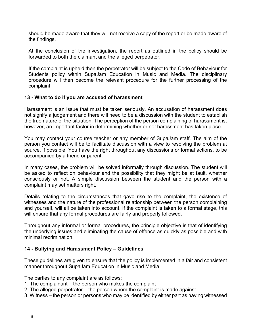should be made aware that they will not receive a copy of the report or be made aware of the findings.

At the conclusion of the investigation, the report as outlined in the policy should be forwarded to both the claimant and the alleged perpetrator.

If the complaint is upheld then the perpetrator will be subject to the Code of Behaviour for Students policy within SupaJam Education in Music and Media. The disciplinary procedure will then become the relevant procedure for the further processing of the complaint.

#### **13 - What to do if you are accused of harassment**

Harassment is an issue that must be taken seriously. An accusation of harassment does not signify a judgement and there will need to be a discussion with the student to establish the true nature of the situation. The perception of the person complaining of harassment is, however, an important factor in determining whether or not harassment has taken place.

You may contact your course teacher or any member of SupaJam staff. The aim of the person you contact will be to facilitate discussion with a view to resolving the problem at source, if possible. You have the right throughout any discussions or formal actions, to be accompanied by a friend or parent.

In many cases, the problem will be solved informally through discussion. The student will be asked to reflect on behaviour and the possibility that they might be at fault, whether consciously or not. A simple discussion between the student and the person with a complaint may set matters right.

Details relating to the circumstances that gave rise to the complaint, the existence of witnesses and the nature of the professional relationship between the person complaining and yourself, will all be taken into account. If the complaint is taken to a formal stage, this will ensure that any formal procedures are fairly and properly followed.

Throughout any informal or formal procedures, the principle objective is that of identifying the underlying issues and eliminating the cause of offence as quickly as possible and with minimal recrimination.

## **14 - Bullying and Harassment Policy – Guidelines**

These guidelines are given to ensure that the policy is implemented in a fair and consistent manner throughout SupaJam Education in Music and Media.

The parties to any complaint are as follows:

- 1. The complainant the person who makes the complaint
- 2. The alleged perpetrator the person whom the complaint is made against
- 3. Witness the person or persons who may be identified by either part as having witnessed